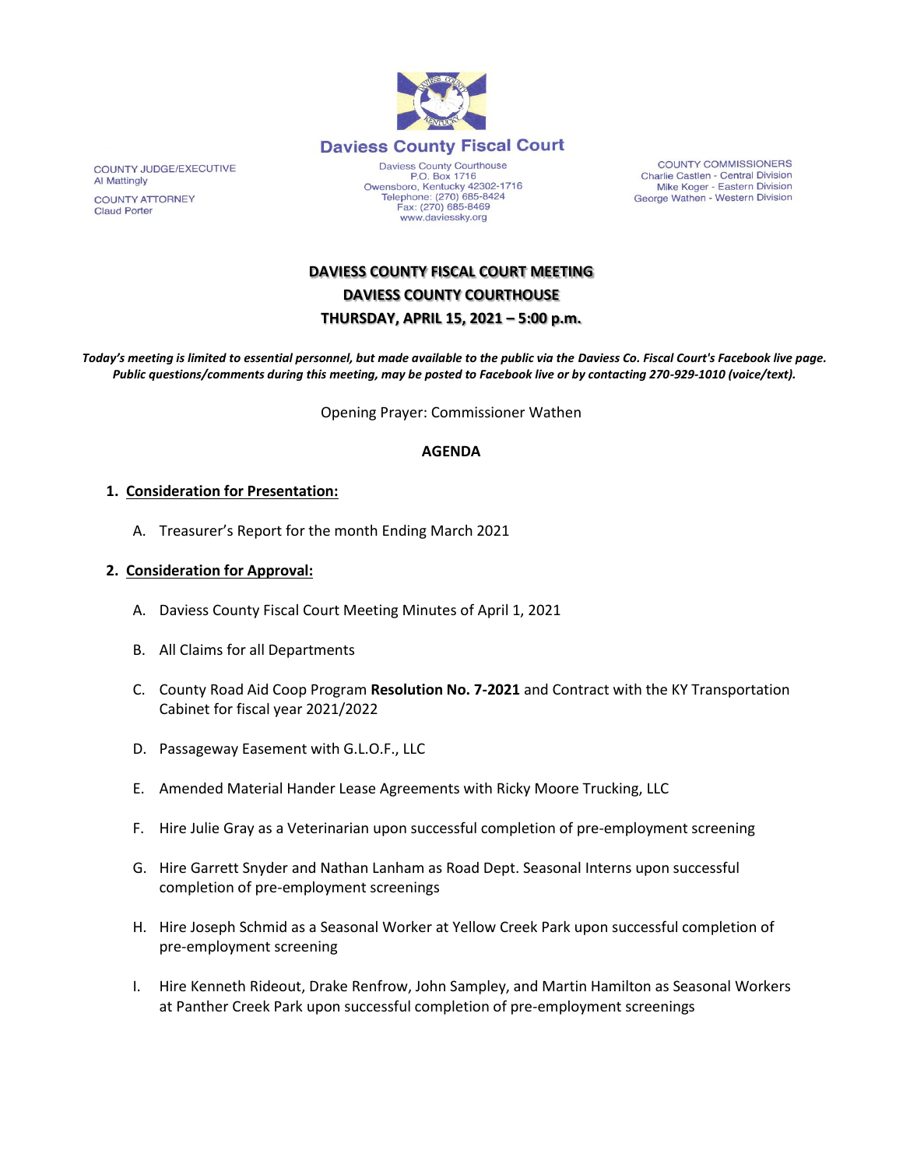

Daviess County Courthouse<br>P.O. Box 1716 Owensboro, Kentucky 42302-1716 Telephone: (270) 685-8424<br>Fax: (270) 685-8469 www.daviessky.org

COUNTY COMMISSIONERS Charlie Castlen - Central Division Mike Koger - Eastern Division George Wathen - Western Division

# **DAVIESS COUNTY FISCAL COURT MEETING DAVIESS COUNTY COURTHOUSE THURSDAY, APRIL 15, 2021 – 5:00 p.m.**

*Today's meeting is limited to essential personnel, but made available to the public via the Daviess Co. Fiscal Court's Facebook live page. Public questions/comments during this meeting, may be posted to Facebook live or by contacting 270-929-1010 (voice/text).*

Opening Prayer: Commissioner Wathen

#### **AGENDA**

#### **1. Consideration for Presentation:**

A. Treasurer's Report for the month Ending March 2021

#### **2. Consideration for Approval:**

- A. Daviess County Fiscal Court Meeting Minutes of April 1, 2021
- B. All Claims for all Departments
- C. County Road Aid Coop Program **Resolution No. 7-2021** and Contract with the KY Transportation Cabinet for fiscal year 2021/2022
- D. Passageway Easement with G.L.O.F., LLC
- E. Amended Material Hander Lease Agreements with Ricky Moore Trucking, LLC
- F. Hire Julie Gray as a Veterinarian upon successful completion of pre-employment screening
- G. Hire Garrett Snyder and Nathan Lanham as Road Dept. Seasonal Interns upon successful completion of pre-employment screenings
- H. Hire Joseph Schmid as a Seasonal Worker at Yellow Creek Park upon successful completion of pre-employment screening
- I. Hire Kenneth Rideout, Drake Renfrow, John Sampley, and Martin Hamilton as Seasonal Workers at Panther Creek Park upon successful completion of pre-employment screenings

COUNTY JUDGE/EXECUTIVE Al Mattingly **COUNTY ATTORNEY Claud Porter**